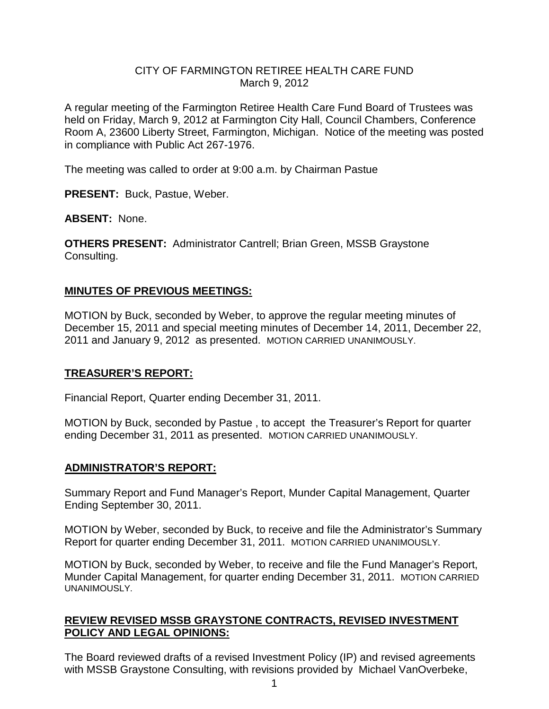#### CITY OF FARMINGTON RETIREE HEALTH CARE FUND March 9, 2012

A regular meeting of the Farmington Retiree Health Care Fund Board of Trustees was held on Friday, March 9, 2012 at Farmington City Hall, Council Chambers, Conference Room A, 23600 Liberty Street, Farmington, Michigan. Notice of the meeting was posted in compliance with Public Act 267-1976.

The meeting was called to order at 9:00 a.m. by Chairman Pastue

**PRESENT:** Buck, Pastue, Weber.

**ABSENT:** None.

**OTHERS PRESENT:** Administrator Cantrell; Brian Green, MSSB Graystone Consulting.

### **MINUTES OF PREVIOUS MEETINGS:**

MOTION by Buck, seconded by Weber, to approve the regular meeting minutes of December 15, 2011 and special meeting minutes of December 14, 2011, December 22, 2011 and January 9, 2012 as presented. MOTION CARRIED UNANIMOUSLY.

### **TREASURER'S REPORT:**

Financial Report, Quarter ending December 31, 2011.

MOTION by Buck, seconded by Pastue , to accept the Treasurer's Report for quarter ending December 31, 2011 as presented. MOTION CARRIED UNANIMOUSLY.

### **ADMINISTRATOR'S REPORT:**

Summary Report and Fund Manager's Report, Munder Capital Management, Quarter Ending September 30, 2011.

MOTION by Weber, seconded by Buck, to receive and file the Administrator's Summary Report for quarter ending December 31, 2011. MOTION CARRIED UNANIMOUSLY.

MOTION by Buck, seconded by Weber, to receive and file the Fund Manager's Report, Munder Capital Management, for quarter ending December 31, 2011. MOTION CARRIED UNANIMOUSLY.

## **REVIEW REVISED MSSB GRAYSTONE CONTRACTS, REVISED INVESTMENT POLICY AND LEGAL OPINIONS:**

The Board reviewed drafts of a revised Investment Policy (IP) and revised agreements with MSSB Graystone Consulting, with revisions provided by Michael VanOverbeke,